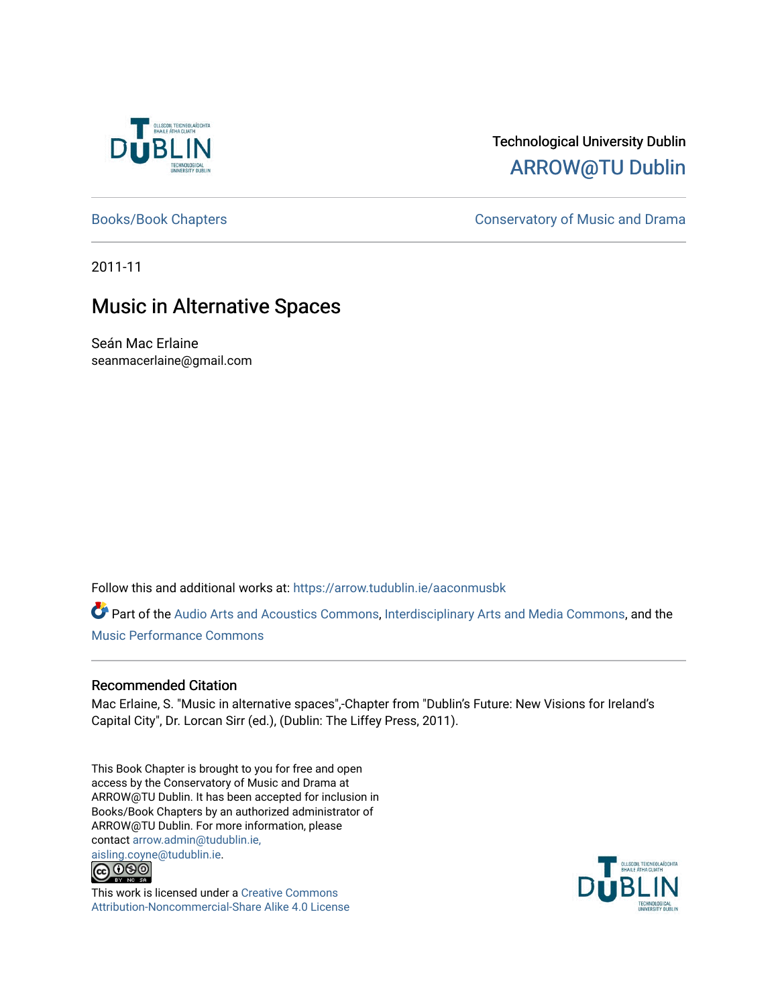

# Technological University Dublin [ARROW@TU Dublin](https://arrow.tudublin.ie/)

[Books/Book Chapters](https://arrow.tudublin.ie/aaconmusbk) **Conservatory of Music and Drama** 

2011-11

# Music in Alternative Spaces

Seán Mac Erlaine seanmacerlaine@gmail.com

Follow this and additional works at: [https://arrow.tudublin.ie/aaconmusbk](https://arrow.tudublin.ie/aaconmusbk?utm_source=arrow.tudublin.ie%2Faaconmusbk%2F4&utm_medium=PDF&utm_campaign=PDFCoverPages)

Part of the [Audio Arts and Acoustics Commons](http://network.bepress.com/hgg/discipline/1140?utm_source=arrow.tudublin.ie%2Faaconmusbk%2F4&utm_medium=PDF&utm_campaign=PDFCoverPages), [Interdisciplinary Arts and Media Commons](http://network.bepress.com/hgg/discipline/1137?utm_source=arrow.tudublin.ie%2Faaconmusbk%2F4&utm_medium=PDF&utm_campaign=PDFCoverPages), and the [Music Performance Commons](http://network.bepress.com/hgg/discipline/1128?utm_source=arrow.tudublin.ie%2Faaconmusbk%2F4&utm_medium=PDF&utm_campaign=PDFCoverPages) 

# Recommended Citation

Mac Erlaine, S. "Music in alternative spaces",-Chapter from "Dublin's Future: New Visions for Ireland's Capital City", Dr. Lorcan Sirr (ed.), (Dublin: The Liffey Press, 2011).

This Book Chapter is brought to you for free and open access by the Conservatory of Music and Drama at ARROW@TU Dublin. It has been accepted for inclusion in Books/Book Chapters by an authorized administrator of ARROW@TU Dublin. For more information, please contact [arrow.admin@tudublin.ie,](mailto:arrow.admin@tudublin.ie,%20aisling.coyne@tudublin.ie)  [aisling.coyne@tudublin.ie.](mailto:arrow.admin@tudublin.ie,%20aisling.coyne@tudublin.ie)<br>© 090



This work is licensed under a [Creative Commons](http://creativecommons.org/licenses/by-nc-sa/4.0/) [Attribution-Noncommercial-Share Alike 4.0 License](http://creativecommons.org/licenses/by-nc-sa/4.0/)

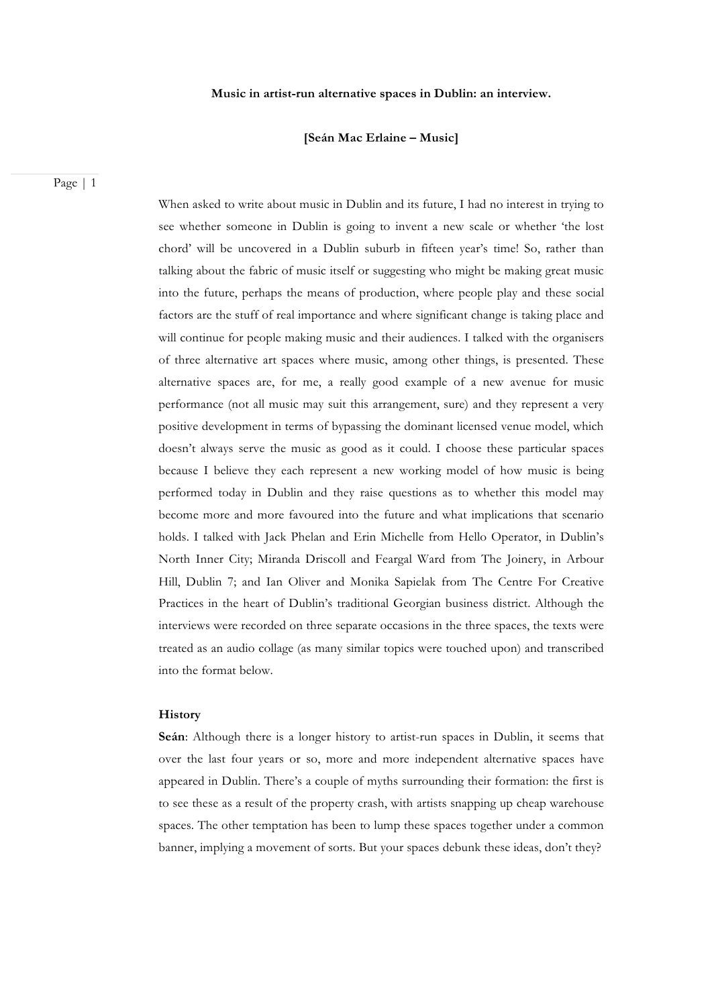#### **Music in artist-run alternative spaces in Dublin: an interview.**

## **[Seán Mac Erlaine – Music]**

Page | 1

When asked to write about music in Dublin and its future, I had no interest in trying to see whether someone in Dublin is going to invent a new scale or whether 'the lost chord' will be uncovered in a Dublin suburb in fifteen year's time! So, rather than talking about the fabric of music itself or suggesting who might be making great music into the future, perhaps the means of production, where people play and these social factors are the stuff of real importance and where significant change is taking place and will continue for people making music and their audiences. I talked with the organisers of three alternative art spaces where music, among other things, is presented. These alternative spaces are, for me, a really good example of a new avenue for music performance (not all music may suit this arrangement, sure) and they represent a very positive development in terms of bypassing the dominant licensed venue model, which doesn't always serve the music as good as it could. I choose these particular spaces because I believe they each represent a new working model of how music is being performed today in Dublin and they raise questions as to whether this model may become more and more favoured into the future and what implications that scenario holds. I talked with Jack Phelan and Erin Michelle from Hello Operator, in Dublin's North Inner City; Miranda Driscoll and Feargal Ward from The Joinery, in Arbour Hill, Dublin 7; and Ian Oliver and Monika Sapielak from The Centre For Creative Practices in the heart of Dublin's traditional Georgian business district. Although the interviews were recorded on three separate occasions in the three spaces, the texts were treated as an audio collage (as many similar topics were touched upon) and transcribed into the format below.

## **History**

**Seán**: Although there is a longer history to artist-run spaces in Dublin, it seems that over the last four years or so, more and more independent alternative spaces have appeared in Dublin. There's a couple of myths surrounding their formation: the first is to see these as a result of the property crash, with artists snapping up cheap warehouse spaces. The other temptation has been to lump these spaces together under a common banner, implying a movement of sorts. But your spaces debunk these ideas, don't they?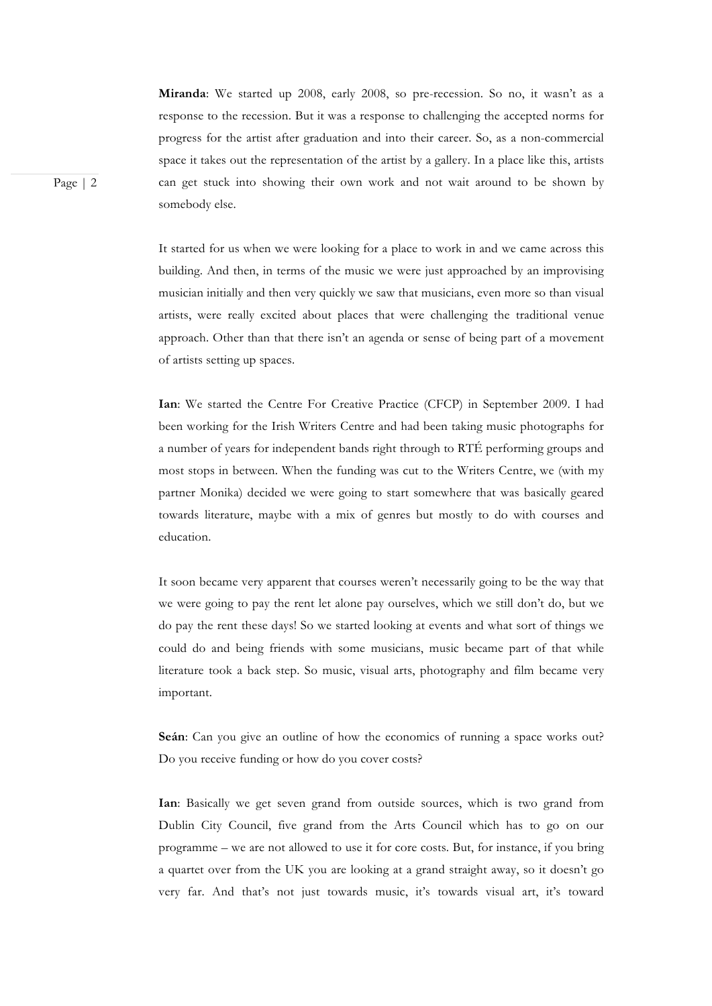**Miranda**: We started up 2008, early 2008, so pre-recession. So no, it wasn't as a response to the recession. But it was a response to challenging the accepted norms for progress for the artist after graduation and into their career. So, as a non-commercial space it takes out the representation of the artist by a gallery. In a place like this, artists can get stuck into showing their own work and not wait around to be shown by somebody else.

It started for us when we were looking for a place to work in and we came across this building. And then, in terms of the music we were just approached by an improvising musician initially and then very quickly we saw that musicians, even more so than visual artists, were really excited about places that were challenging the traditional venue approach. Other than that there isn't an agenda or sense of being part of a movement of artists setting up spaces.

**Ian**: We started the Centre For Creative Practice (CFCP) in September 2009. I had been working for the Irish Writers Centre and had been taking music photographs for a number of years for independent bands right through to RTÉ performing groups and most stops in between. When the funding was cut to the Writers Centre, we (with my partner Monika) decided we were going to start somewhere that was basically geared towards literature, maybe with a mix of genres but mostly to do with courses and education.

It soon became very apparent that courses weren't necessarily going to be the way that we were going to pay the rent let alone pay ourselves, which we still don't do, but we do pay the rent these days! So we started looking at events and what sort of things we could do and being friends with some musicians, music became part of that while literature took a back step. So music, visual arts, photography and film became very important.

**Seán**: Can you give an outline of how the economics of running a space works out? Do you receive funding or how do you cover costs?

**Ian**: Basically we get seven grand from outside sources, which is two grand from Dublin City Council, five grand from the Arts Council which has to go on our programme – we are not allowed to use it for core costs. But, for instance, if you bring a quartet over from the UK you are looking at a grand straight away, so it doesn't go very far. And that's not just towards music, it's towards visual art, it's toward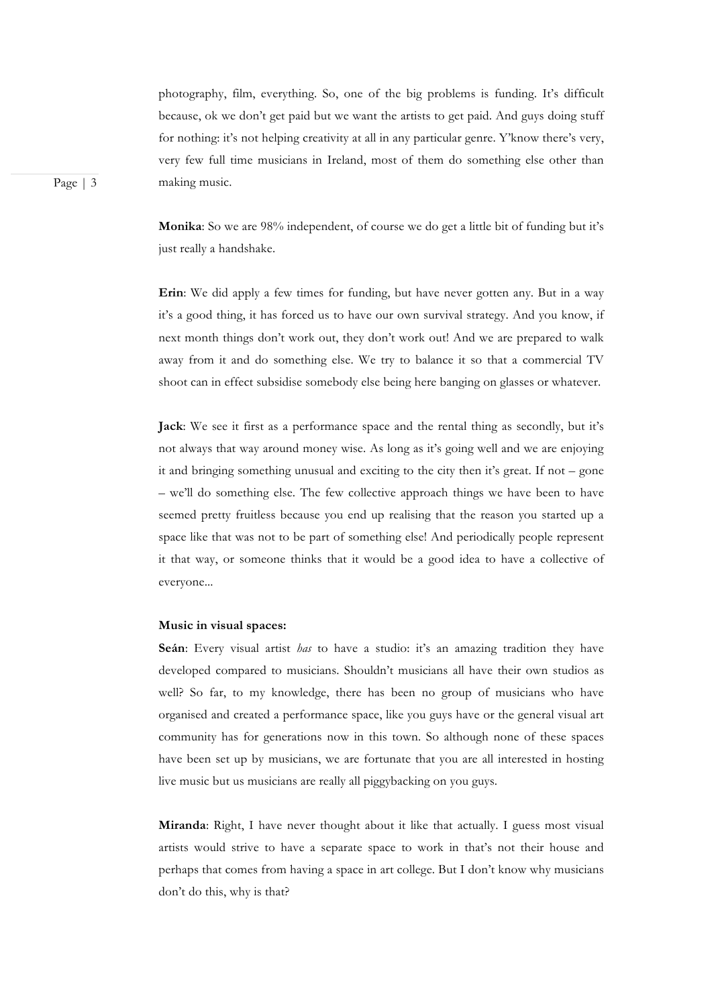photography, film, everything. So, one of the big problems is funding. It's difficult because, ok we don't get paid but we want the artists to get paid. And guys doing stuff for nothing: it's not helping creativity at all in any particular genre. Y'know there's very, very few full time musicians in Ireland, most of them do something else other than making music.

**Monika**: So we are 98% independent, of course we do get a little bit of funding but it's just really a handshake.

**Erin**: We did apply a few times for funding, but have never gotten any. But in a way it's a good thing, it has forced us to have our own survival strategy. And you know, if next month things don't work out, they don't work out! And we are prepared to walk away from it and do something else. We try to balance it so that a commercial TV shoot can in effect subsidise somebody else being here banging on glasses or whatever.

**Jack**: We see it first as a performance space and the rental thing as secondly, but it's not always that way around money wise. As long as it's going well and we are enjoying it and bringing something unusual and exciting to the city then it's great. If not – gone – we'll do something else. The few collective approach things we have been to have seemed pretty fruitless because you end up realising that the reason you started up a space like that was not to be part of something else! And periodically people represent it that way, or someone thinks that it would be a good idea to have a collective of everyone...

#### **Music in visual spaces:**

Seán: Every visual artist *has* to have a studio: it's an amazing tradition they have developed compared to musicians. Shouldn't musicians all have their own studios as well? So far, to my knowledge, there has been no group of musicians who have organised and created a performance space, like you guys have or the general visual art community has for generations now in this town. So although none of these spaces have been set up by musicians, we are fortunate that you are all interested in hosting live music but us musicians are really all piggybacking on you guys.

**Miranda**: Right, I have never thought about it like that actually. I guess most visual artists would strive to have a separate space to work in that's not their house and perhaps that comes from having a space in art college. But I don't know why musicians don't do this, why is that?

Page | 3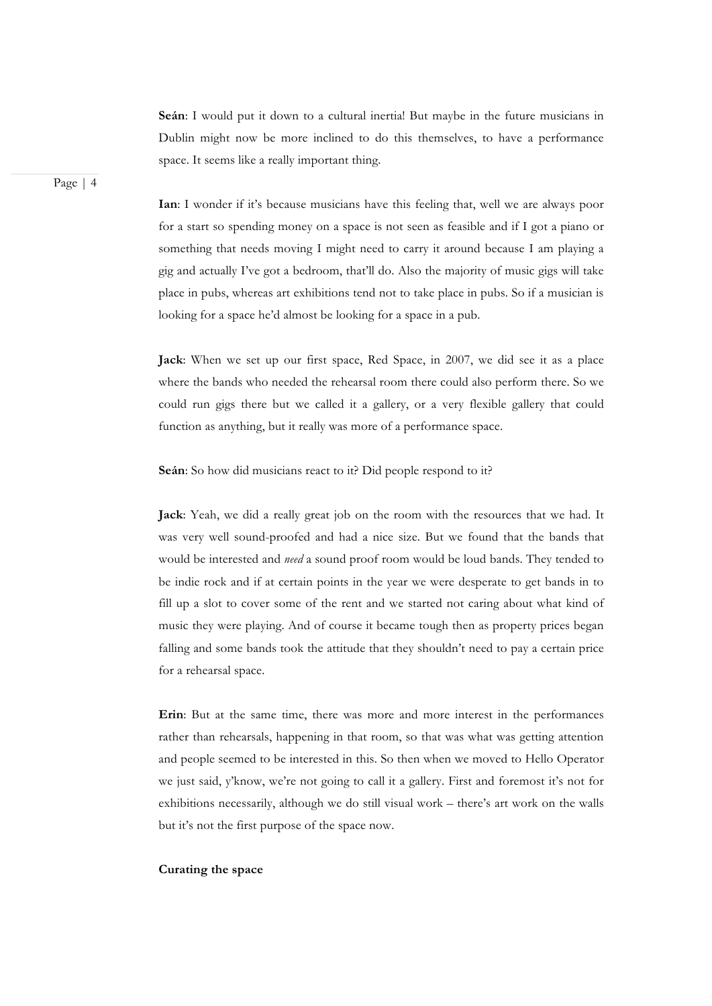**Seán**: I would put it down to a cultural inertia! But maybe in the future musicians in Dublin might now be more inclined to do this themselves, to have a performance space. It seems like a really important thing.

Page | 4

**Ian**: I wonder if it's because musicians have this feeling that, well we are always poor for a start so spending money on a space is not seen as feasible and if I got a piano or something that needs moving I might need to carry it around because I am playing a gig and actually I've got a bedroom, that'll do. Also the majority of music gigs will take place in pubs, whereas art exhibitions tend not to take place in pubs. So if a musician is looking for a space he'd almost be looking for a space in a pub.

**Jack**: When we set up our first space, Red Space, in 2007, we did see it as a place where the bands who needed the rehearsal room there could also perform there. So we could run gigs there but we called it a gallery, or a very flexible gallery that could function as anything, but it really was more of a performance space.

**Seán**: So how did musicians react to it? Did people respond to it?

**Jack**: Yeah, we did a really great job on the room with the resources that we had. It was very well sound-proofed and had a nice size. But we found that the bands that would be interested and *need* a sound proof room would be loud bands. They tended to be indie rock and if at certain points in the year we were desperate to get bands in to fill up a slot to cover some of the rent and we started not caring about what kind of music they were playing. And of course it became tough then as property prices began falling and some bands took the attitude that they shouldn't need to pay a certain price for a rehearsal space.

**Erin**: But at the same time, there was more and more interest in the performances rather than rehearsals, happening in that room, so that was what was getting attention and people seemed to be interested in this. So then when we moved to Hello Operator we just said, y'know, we're not going to call it a gallery. First and foremost it's not for exhibitions necessarily, although we do still visual work – there's art work on the walls but it's not the first purpose of the space now.

### **Curating the space**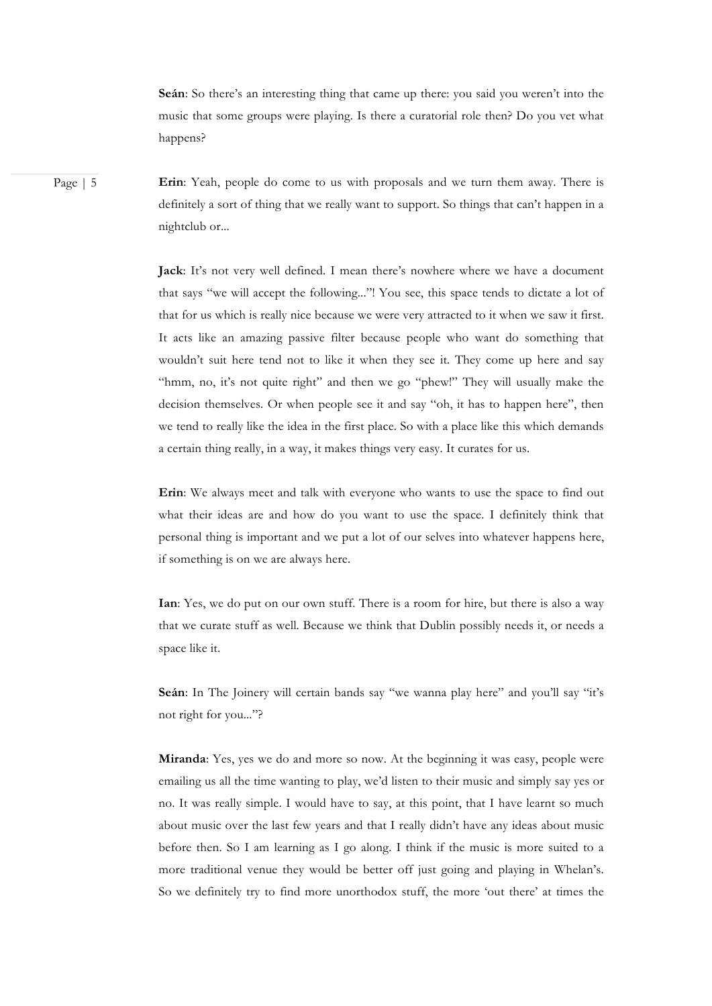**Seán**: So there's an interesting thing that came up there: you said you weren't into the music that some groups were playing. Is there a curatorial role then? Do you vet what happens?

Page | 5 **Erin**: Yeah, people do come to us with proposals and we turn them away. There is definitely a sort of thing that we really want to support. So things that can't happen in a nightclub or...

> **Jack**: It's not very well defined. I mean there's nowhere where we have a document that says "we will accept the following..."! You see, this space tends to dictate a lot of that for us which is really nice because we were very attracted to it when we saw it first. It acts like an amazing passive filter because people who want do something that wouldn't suit here tend not to like it when they see it. They come up here and say "hmm, no, it's not quite right" and then we go "phew!" They will usually make the decision themselves. Or when people see it and say "oh, it has to happen here", then we tend to really like the idea in the first place. So with a place like this which demands a certain thing really, in a way, it makes things very easy. It curates for us.

> **Erin**: We always meet and talk with everyone who wants to use the space to find out what their ideas are and how do you want to use the space. I definitely think that personal thing is important and we put a lot of our selves into whatever happens here, if something is on we are always here.

> **Ian**: Yes, we do put on our own stuff. There is a room for hire, but there is also a way that we curate stuff as well. Because we think that Dublin possibly needs it, or needs a space like it.

> Seán: In The Joinery will certain bands say "we wanna play here" and you'll say "it's not right for you..."?

> **Miranda**: Yes, yes we do and more so now. At the beginning it was easy, people were emailing us all the time wanting to play, we'd listen to their music and simply say yes or no. It was really simple. I would have to say, at this point, that I have learnt so much about music over the last few years and that I really didn't have any ideas about music before then. So I am learning as I go along. I think if the music is more suited to a more traditional venue they would be better off just going and playing in Whelan's. So we definitely try to find more unorthodox stuff, the more 'out there' at times the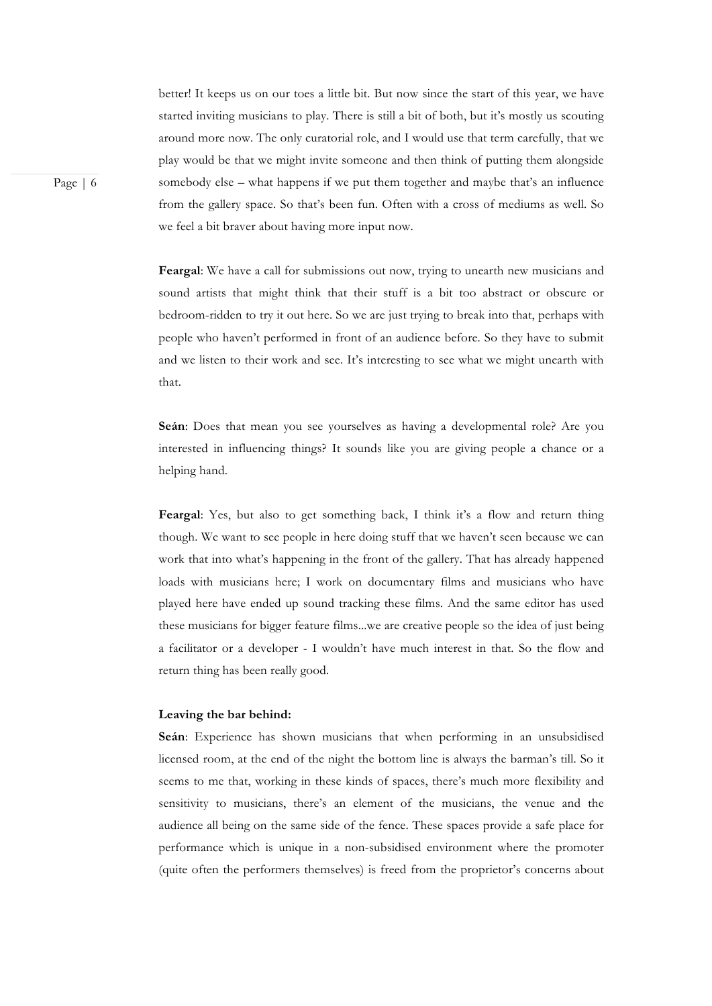better! It keeps us on our toes a little bit. But now since the start of this year, we have started inviting musicians to play. There is still a bit of both, but it's mostly us scouting around more now. The only curatorial role, and I would use that term carefully, that we play would be that we might invite someone and then think of putting them alongside somebody else – what happens if we put them together and maybe that's an influence from the gallery space. So that's been fun. Often with a cross of mediums as well. So we feel a bit braver about having more input now.

**Feargal**: We have a call for submissions out now, trying to unearth new musicians and sound artists that might think that their stuff is a bit too abstract or obscure or bedroom-ridden to try it out here. So we are just trying to break into that, perhaps with people who haven't performed in front of an audience before. So they have to submit and we listen to their work and see. It's interesting to see what we might unearth with that.

**Seán**: Does that mean you see yourselves as having a developmental role? Are you interested in influencing things? It sounds like you are giving people a chance or a helping hand.

**Feargal**: Yes, but also to get something back, I think it's a flow and return thing though. We want to see people in here doing stuff that we haven't seen because we can work that into what's happening in the front of the gallery. That has already happened loads with musicians here; I work on documentary films and musicians who have played here have ended up sound tracking these films. And the same editor has used these musicians for bigger feature films...we are creative people so the idea of just being a facilitator or a developer - I wouldn't have much interest in that. So the flow and return thing has been really good.

#### **Leaving the bar behind:**

**Seán**: Experience has shown musicians that when performing in an unsubsidised licensed room, at the end of the night the bottom line is always the barman's till. So it seems to me that, working in these kinds of spaces, there's much more flexibility and sensitivity to musicians, there's an element of the musicians, the venue and the audience all being on the same side of the fence. These spaces provide a safe place for performance which is unique in a non-subsidised environment where the promoter (quite often the performers themselves) is freed from the proprietor's concerns about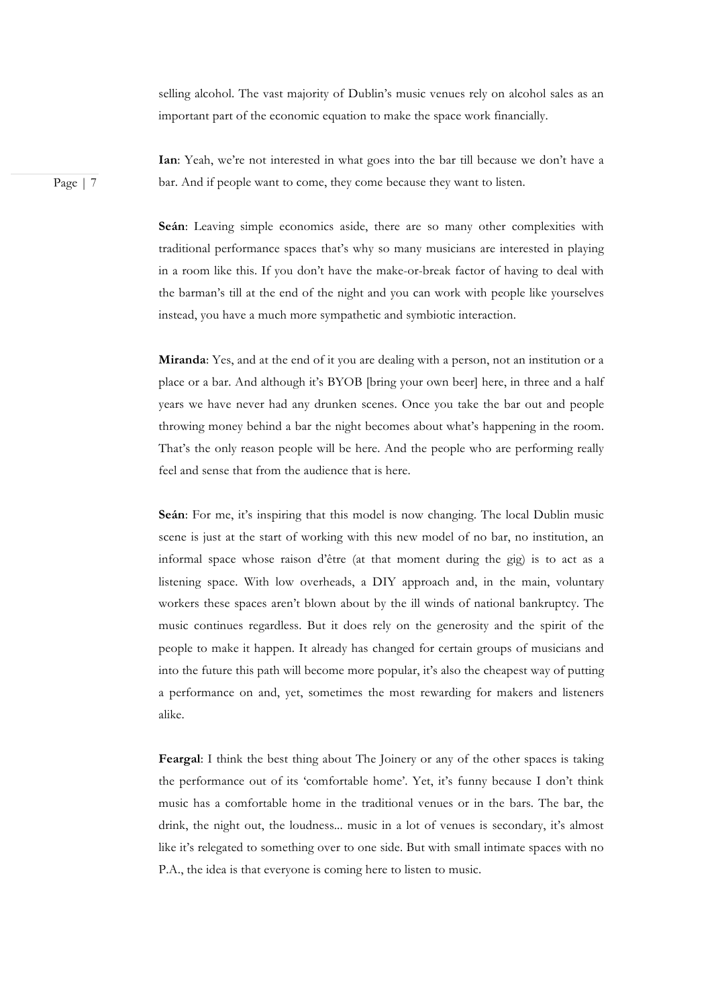selling alcohol. The vast majority of Dublin's music venues rely on alcohol sales as an important part of the economic equation to make the space work financially.

Page | 7

**Ian**: Yeah, we're not interested in what goes into the bar till because we don't have a bar. And if people want to come, they come because they want to listen.

**Seán**: Leaving simple economics aside, there are so many other complexities with traditional performance spaces that's why so many musicians are interested in playing in a room like this. If you don't have the make-or-break factor of having to deal with the barman's till at the end of the night and you can work with people like yourselves instead, you have a much more sympathetic and symbiotic interaction.

**Miranda**: Yes, and at the end of it you are dealing with a person, not an institution or a place or a bar. And although it's BYOB [bring your own beer] here, in three and a half years we have never had any drunken scenes. Once you take the bar out and people throwing money behind a bar the night becomes about what's happening in the room. That's the only reason people will be here. And the people who are performing really feel and sense that from the audience that is here.

**Seán**: For me, it's inspiring that this model is now changing. The local Dublin music scene is just at the start of working with this new model of no bar, no institution, an informal space whose raison d'être (at that moment during the gig) is to act as a listening space. With low overheads, a DIY approach and, in the main, voluntary workers these spaces aren't blown about by the ill winds of national bankruptcy. The music continues regardless. But it does rely on the generosity and the spirit of the people to make it happen. It already has changed for certain groups of musicians and into the future this path will become more popular, it's also the cheapest way of putting a performance on and, yet, sometimes the most rewarding for makers and listeners alike.

**Feargal**: I think the best thing about The Joinery or any of the other spaces is taking the performance out of its 'comfortable home'. Yet, it's funny because I don't think music has a comfortable home in the traditional venues or in the bars. The bar, the drink, the night out, the loudness... music in a lot of venues is secondary, it's almost like it's relegated to something over to one side. But with small intimate spaces with no P.A., the idea is that everyone is coming here to listen to music.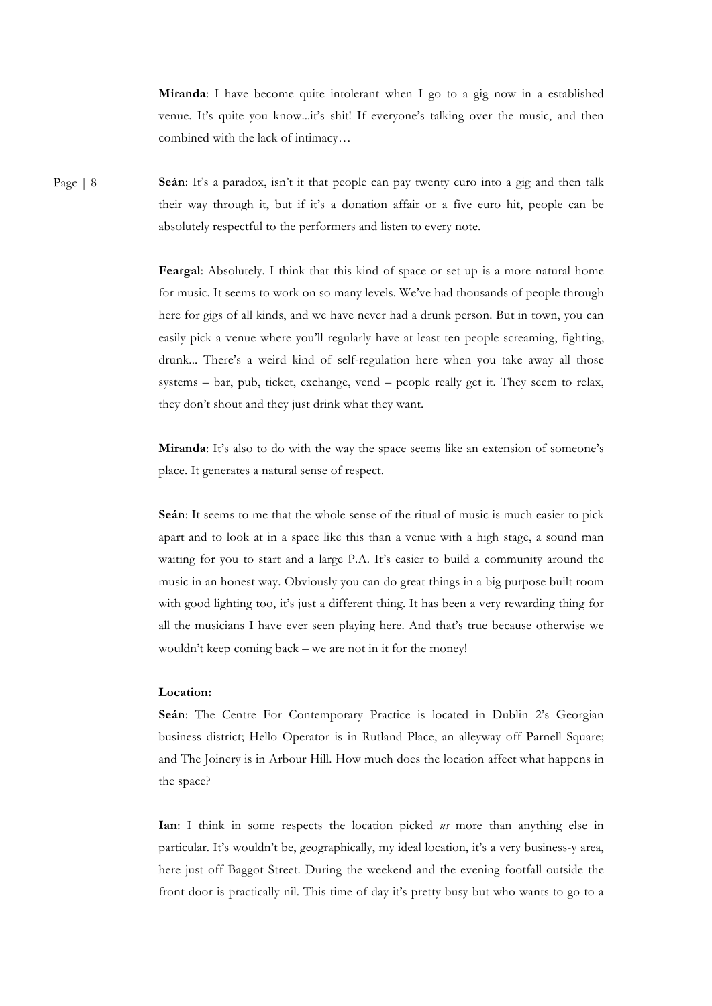**Miranda**: I have become quite intolerant when I go to a gig now in a established venue. It's quite you know...it's shit! If everyone's talking over the music, and then combined with the lack of intimacy…

Page | 8 **Seán**: It's a paradox, isn't it that people can pay twenty euro into a gig and then talk their way through it, but if it's a donation affair or a five euro hit, people can be absolutely respectful to the performers and listen to every note.

> **Feargal**: Absolutely. I think that this kind of space or set up is a more natural home for music. It seems to work on so many levels. We've had thousands of people through here for gigs of all kinds, and we have never had a drunk person. But in town, you can easily pick a venue where you'll regularly have at least ten people screaming, fighting, drunk... There's a weird kind of self-regulation here when you take away all those systems – bar, pub, ticket, exchange, vend – people really get it. They seem to relax, they don't shout and they just drink what they want.

> Miranda: It's also to do with the way the space seems like an extension of someone's place. It generates a natural sense of respect.

> **Seán**: It seems to me that the whole sense of the ritual of music is much easier to pick apart and to look at in a space like this than a venue with a high stage, a sound man waiting for you to start and a large P.A. It's easier to build a community around the music in an honest way. Obviously you can do great things in a big purpose built room with good lighting too, it's just a different thing. It has been a very rewarding thing for all the musicians I have ever seen playing here. And that's true because otherwise we wouldn't keep coming back – we are not in it for the money!

#### **Location:**

**Seán**: The Centre For Contemporary Practice is located in Dublin 2's Georgian business district; Hello Operator is in Rutland Place, an alleyway off Parnell Square; and The Joinery is in Arbour Hill. How much does the location affect what happens in the space?

**Ian**: I think in some respects the location picked *us* more than anything else in particular. It's wouldn't be, geographically, my ideal location, it's a very business-y area, here just off Baggot Street. During the weekend and the evening footfall outside the front door is practically nil. This time of day it's pretty busy but who wants to go to a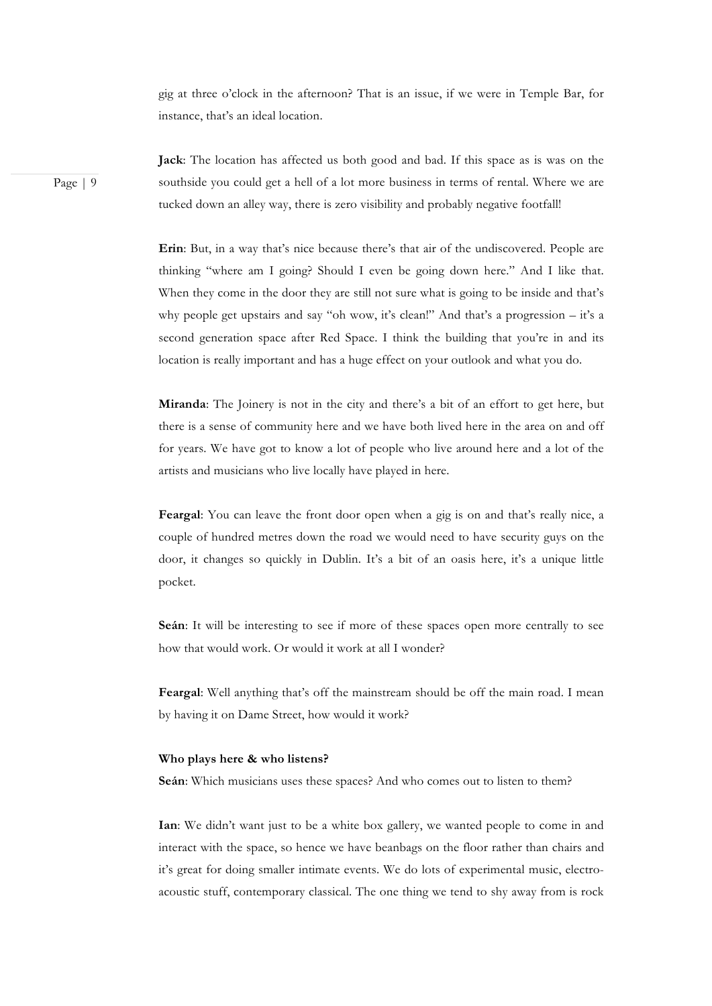gig at three o'clock in the afternoon? That is an issue, if we were in Temple Bar, for instance, that's an ideal location.

Page | 9

**Jack**: The location has affected us both good and bad. If this space as is was on the southside you could get a hell of a lot more business in terms of rental. Where we are tucked down an alley way, there is zero visibility and probably negative footfall!

**Erin**: But, in a way that's nice because there's that air of the undiscovered. People are thinking "where am I going? Should I even be going down here." And I like that. When they come in the door they are still not sure what is going to be inside and that's why people get upstairs and say "oh wow, it's clean!" And that's a progression – it's a second generation space after Red Space. I think the building that you're in and its location is really important and has a huge effect on your outlook and what you do.

**Miranda**: The Joinery is not in the city and there's a bit of an effort to get here, but there is a sense of community here and we have both lived here in the area on and off for years. We have got to know a lot of people who live around here and a lot of the artists and musicians who live locally have played in here.

**Feargal**: You can leave the front door open when a gig is on and that's really nice, a couple of hundred metres down the road we would need to have security guys on the door, it changes so quickly in Dublin. It's a bit of an oasis here, it's a unique little pocket.

**Seán**: It will be interesting to see if more of these spaces open more centrally to see how that would work. Or would it work at all I wonder?

**Feargal**: Well anything that's off the mainstream should be off the main road. I mean by having it on Dame Street, how would it work?

#### **Who plays here & who listens?**

**Seán**: Which musicians uses these spaces? And who comes out to listen to them?

**Ian**: We didn't want just to be a white box gallery, we wanted people to come in and interact with the space, so hence we have beanbags on the floor rather than chairs and it's great for doing smaller intimate events. We do lots of experimental music, electroacoustic stuff, contemporary classical. The one thing we tend to shy away from is rock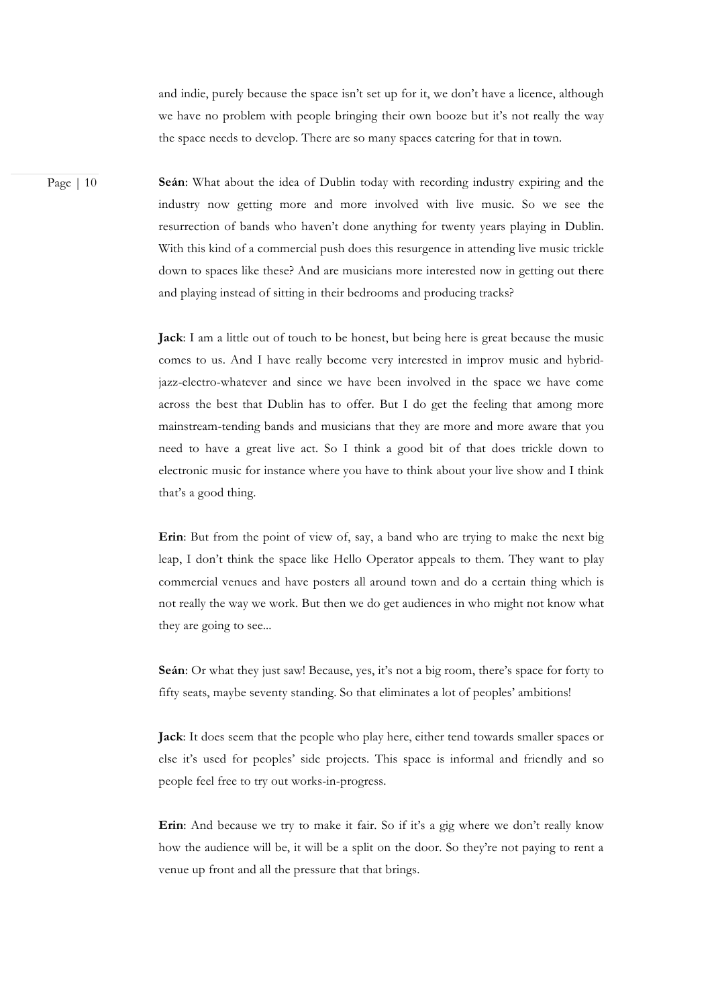and indie, purely because the space isn't set up for it, we don't have a licence, although we have no problem with people bringing their own booze but it's not really the way the space needs to develop. There are so many spaces catering for that in town.

Page | 10 **Seán**: What about the idea of Dublin today with recording industry expiring and the industry now getting more and more involved with live music. So we see the resurrection of bands who haven't done anything for twenty years playing in Dublin. With this kind of a commercial push does this resurgence in attending live music trickle down to spaces like these? And are musicians more interested now in getting out there and playing instead of sitting in their bedrooms and producing tracks?

> **Jack**: I am a little out of touch to be honest, but being here is great because the music comes to us. And I have really become very interested in improv music and hybridjazz-electro-whatever and since we have been involved in the space we have come across the best that Dublin has to offer. But I do get the feeling that among more mainstream-tending bands and musicians that they are more and more aware that you need to have a great live act. So I think a good bit of that does trickle down to electronic music for instance where you have to think about your live show and I think that's a good thing.

> **Erin**: But from the point of view of, say, a band who are trying to make the next big leap, I don't think the space like Hello Operator appeals to them. They want to play commercial venues and have posters all around town and do a certain thing which is not really the way we work. But then we do get audiences in who might not know what they are going to see...

> **Seán**: Or what they just saw! Because, yes, it's not a big room, there's space for forty to fifty seats, maybe seventy standing. So that eliminates a lot of peoples' ambitions!

> **Jack**: It does seem that the people who play here, either tend towards smaller spaces or else it's used for peoples' side projects. This space is informal and friendly and so people feel free to try out works-in-progress.

> **Erin**: And because we try to make it fair. So if it's a gig where we don't really know how the audience will be, it will be a split on the door. So they're not paying to rent a venue up front and all the pressure that that brings.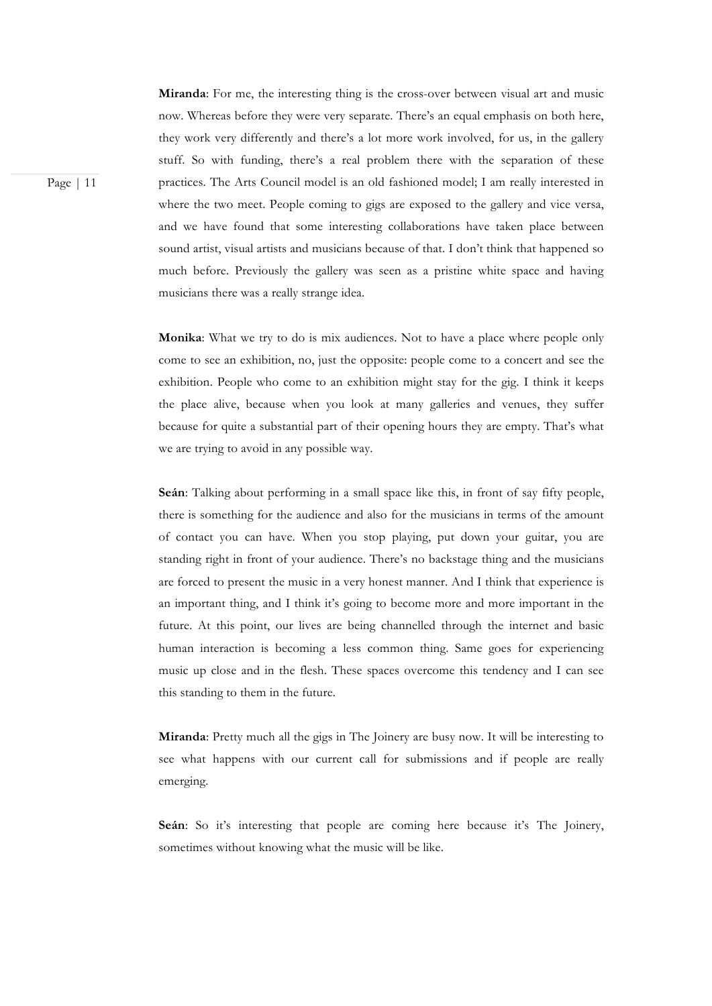**Miranda**: For me, the interesting thing is the cross-over between visual art and music now. Whereas before they were very separate. There's an equal emphasis on both here, they work very differently and there's a lot more work involved, for us, in the gallery stuff. So with funding, there's a real problem there with the separation of these practices. The Arts Council model is an old fashioned model; I am really interested in where the two meet. People coming to gigs are exposed to the gallery and vice versa, and we have found that some interesting collaborations have taken place between sound artist, visual artists and musicians because of that. I don't think that happened so much before. Previously the gallery was seen as a pristine white space and having musicians there was a really strange idea.

**Monika**: What we try to do is mix audiences. Not to have a place where people only come to see an exhibition, no, just the opposite: people come to a concert and see the exhibition. People who come to an exhibition might stay for the gig. I think it keeps the place alive, because when you look at many galleries and venues, they suffer because for quite a substantial part of their opening hours they are empty. That's what we are trying to avoid in any possible way.

**Seán**: Talking about performing in a small space like this, in front of say fifty people, there is something for the audience and also for the musicians in terms of the amount of contact you can have. When you stop playing, put down your guitar, you are standing right in front of your audience. There's no backstage thing and the musicians are forced to present the music in a very honest manner. And I think that experience is an important thing, and I think it's going to become more and more important in the future. At this point, our lives are being channelled through the internet and basic human interaction is becoming a less common thing. Same goes for experiencing music up close and in the flesh. These spaces overcome this tendency and I can see this standing to them in the future.

**Miranda**: Pretty much all the gigs in The Joinery are busy now. It will be interesting to see what happens with our current call for submissions and if people are really emerging.

**Seán**: So it's interesting that people are coming here because it's The Joinery, sometimes without knowing what the music will be like.

Page | 11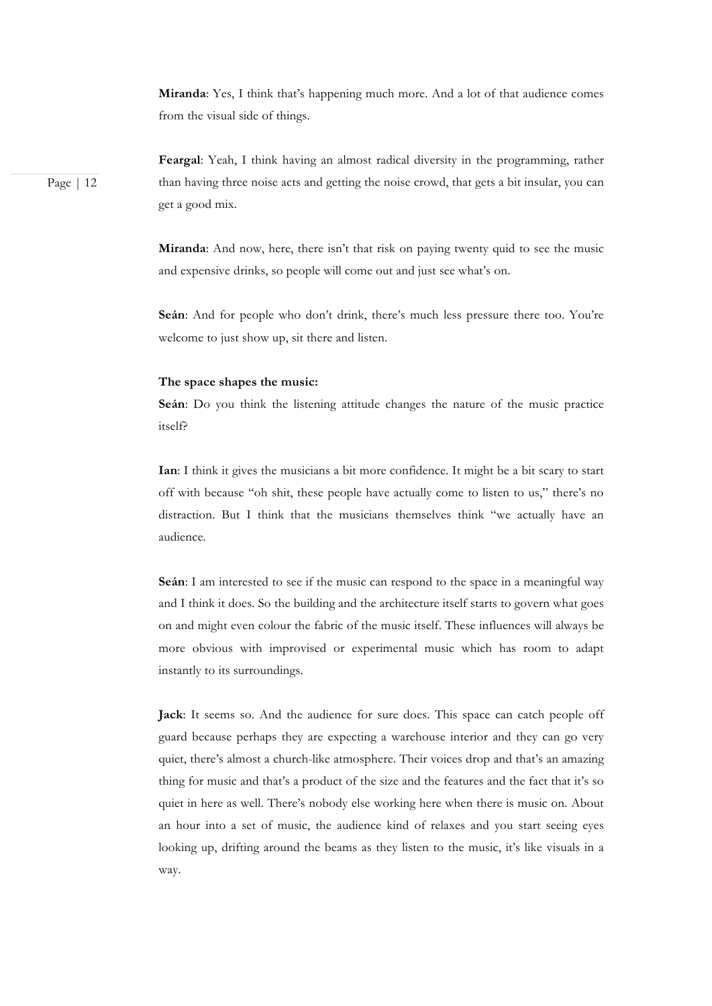**Miranda**: Yes, I think that's happening much more. And a lot of that audience comes from the visual side of things.

Page | 12

**Feargal**: Yeah, I think having an almost radical diversity in the programming, rather than having three noise acts and getting the noise crowd, that gets a bit insular, you can get a good mix.

**Miranda**: And now, here, there isn't that risk on paying twenty quid to see the music and expensive drinks, so people will come out and just see what's on.

**Seán**: And for people who don't drink, there's much less pressure there too. You're welcome to just show up, sit there and listen.

#### **The space shapes the music:**

**Seán**: Do you think the listening attitude changes the nature of the music practice itself?

**Ian**: I think it gives the musicians a bit more confidence. It might be a bit scary to start off with because "oh shit, these people have actually come to listen to us," there's no distraction. But I think that the musicians themselves think "we actually have an audience.

**Seán**: I am interested to see if the music can respond to the space in a meaningful way and I think it does. So the building and the architecture itself starts to govern what goes on and might even colour the fabric of the music itself. These influences will always be more obvious with improvised or experimental music which has room to adapt instantly to its surroundings.

**Jack**: It seems so. And the audience for sure does. This space can catch people off guard because perhaps they are expecting a warehouse interior and they can go very quiet, there's almost a church-like atmosphere. Their voices drop and that's an amazing thing for music and that's a product of the size and the features and the fact that it's so quiet in here as well. There's nobody else working here when there is music on. About an hour into a set of music, the audience kind of relaxes and you start seeing eyes looking up, drifting around the beams as they listen to the music, it's like visuals in a way.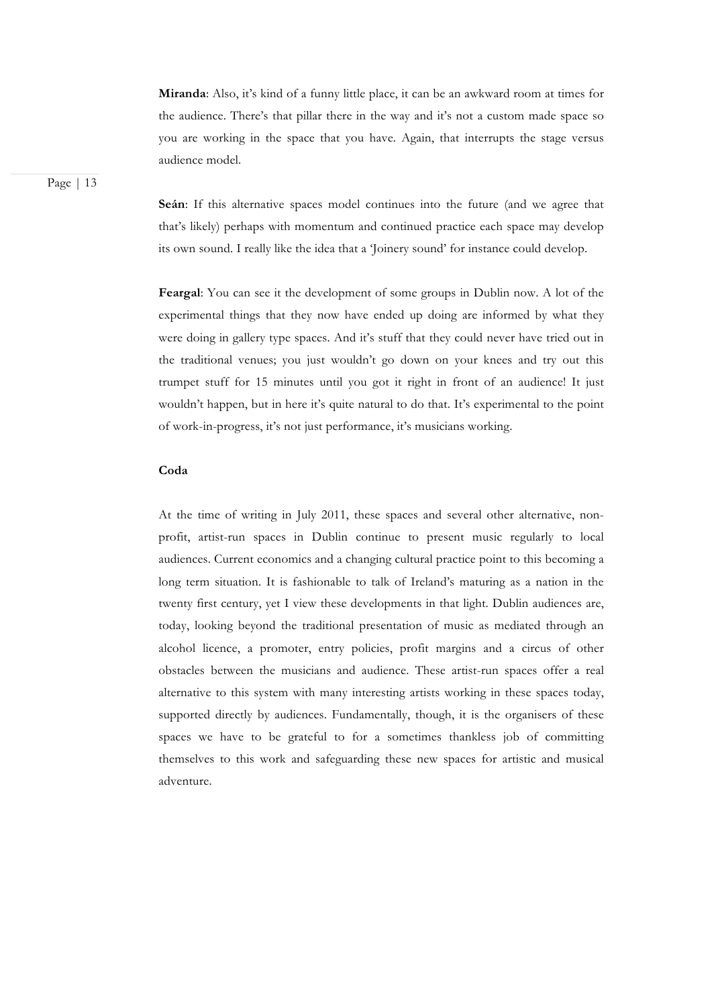**Miranda**: Also, it's kind of a funny little place, it can be an awkward room at times for the audience. There's that pillar there in the way and it's not a custom made space so you are working in the space that you have. Again, that interrupts the stage versus audience model.

Page | 13

**Seán**: If this alternative spaces model continues into the future (and we agree that that's likely) perhaps with momentum and continued practice each space may develop its own sound. I really like the idea that a 'Joinery sound' for instance could develop.

**Feargal**: You can see it the development of some groups in Dublin now. A lot of the experimental things that they now have ended up doing are informed by what they were doing in gallery type spaces. And it's stuff that they could never have tried out in the traditional venues; you just wouldn't go down on your knees and try out this trumpet stuff for 15 minutes until you got it right in front of an audience! It just wouldn't happen, but in here it's quite natural to do that. It's experimental to the point of work-in-progress, it's not just performance, it's musicians working.

# **Coda**

At the time of writing in July 2011, these spaces and several other alternative, nonprofit, artist-run spaces in Dublin continue to present music regularly to local audiences. Current economics and a changing cultural practice point to this becoming a long term situation. It is fashionable to talk of Ireland's maturing as a nation in the twenty first century, yet I view these developments in that light. Dublin audiences are, today, looking beyond the traditional presentation of music as mediated through an alcohol licence, a promoter, entry policies, profit margins and a circus of other obstacles between the musicians and audience. These artist-run spaces offer a real alternative to this system with many interesting artists working in these spaces today, supported directly by audiences. Fundamentally, though, it is the organisers of these spaces we have to be grateful to for a sometimes thankless job of committing themselves to this work and safeguarding these new spaces for artistic and musical adventure.